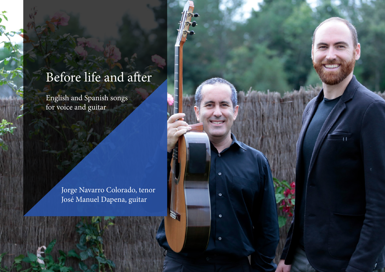# Before life and after

English and Spanish songs for voice and guitar

> Jorge Navarro Colorado, tenor José Manuel Dapena, guitar

 $\ddot{\mathbf{0}}$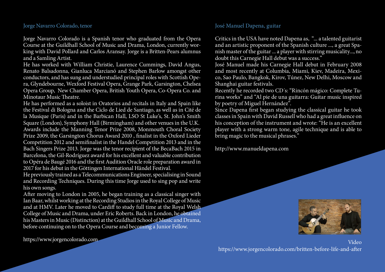## Jorge Navarro Colorado, tenor

Jorge Navarro Colorado is a Spanish tenor who graduated from the Opera Course at the Guildhall School of Music and Drama, London, currently working with David Pollard and Carlos Aransay. Jorge is a Britten-Pears alumnus and a Samling Artist.

He has worked with William Christie, Laurence Cummings, David Angus, Renato Balsadonna, Gianluca Marcianó and Stephen Barlow amongst other conductors, and has sung and understudied principal roles with Scottish Opera, Glyndebourne, Wexford Festival Opera, Grange Park, Garsington, Chelsea Opera Group, New Chamber Opera, British Youth Opera, Co-Opera Co. and Minotaur Music Theatre.

He has performed as a soloist in Oratorios and recitals in Italy and Spain like the Festival di Bologna and the Ciclo de Lied de Santiago, as well as in Cité de la Musique (Paris) and in the Barbican Hall, LSO St Luke's, St. John's Smith Square (London), Symphony Hall (Birmingham) and other venues in the U.K. Awards include the Manning Tenor Prize 2008, Monmouth Choral Society Prize 2009, the Garsington Chorus Award 2010 , finalist in the Oxford Lieder Competition 2012 and semifinalist in the Handel Competition 2013 and in the Bach Singers Prize 2013. Jorge was the tenor recipient of the BecaBach 2015 in Barcelona, the Gil-Rodríguez award for his excellent and valuable contribution to Opéra de Baugé 2016 and the first Audition Oracle role preparation award in 2017 for his debut in the Göttingen International Händel Festival.

He previously trained as a Telecommunications Engineer, specialising in Sound and Recording Techniques. During this time Jorge used to sing pop and write his own songs.

After moving to London in 2005, he began training as a classical singer with Ian Baar, whilst working at the Recording Studios in the Royal College of Music and at HMV. Later he moved to Cardiff to study full time at the Royal Welsh College of Music and Drama, under Eric Roberts. Back in London, he obtained his Masters in Music (Distinction) at the Guildhall School of Music and Drama, before continuing on to the Opera Course and becoming a Junior Fellow.

## José Manuel Dapena, guitar

Critics in the USA have noted Dapena as, "... a talented guitarist and an artistic proponent of the Spanish culture ..., a great Spanish master of the guitar ... a player with stirring musicality..., no doubt this Carnegie Hall debut was a success."

José Manuel made his Carnegie Hall debut in February 2008 and most recently at Columbia, Miami, Kiev, Madeira, Mexico, Sao Paulo, Bangkok, Kirov, Túnez, New Delhi, Moscow and Shanghai guitar festivals.

Recently he recorded two CD´s: "Rincón mágico: Complete Turina works" and "Al pie de una guitarra: Guitar music inspired by poetry of Miguel Hernández".

Since Dapena first began studying the classical guitar he took classes in Spain with David Russell who had a great influence on his conception of the instrument and wrote: "He is an excellent player with a strong warm tone, agile technique and is able to bring magic to the musical phrases."

http://www.manueldapena.com

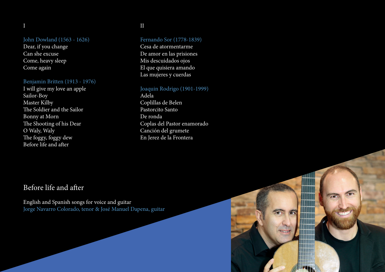## I

## John Dowland (1563 - 1626)

Dear, if you change Can she excuse Come, heavy sleep Come again

## Benjamin Britten (1913 - 1976)

I will give my love an apple Sailor-Boy Master Kilby The Soldier and the Sailor Bonny at Morn The Shooting of his Dear O Waly, Waly The foggy, foggy dew Before life and after

## II

## Fernando Sor (1778-1839)

Cesa de atormentarme De amor en las prisiones Mis descuidados ojos El que quisiera amando Las mujeres y cuerdas

### Joaquin Rodrigo (1901-1999)

Adela Coplillas de Belen Pastorcito Santo De ronda Coplas del Pastor enamorado Canción del grumete En Jerez de la Frontera

## Before life and after

English and Spanish songs for voice and guitar Jorge Navarro Colorado, tenor & José Manuel Dapena, guitar